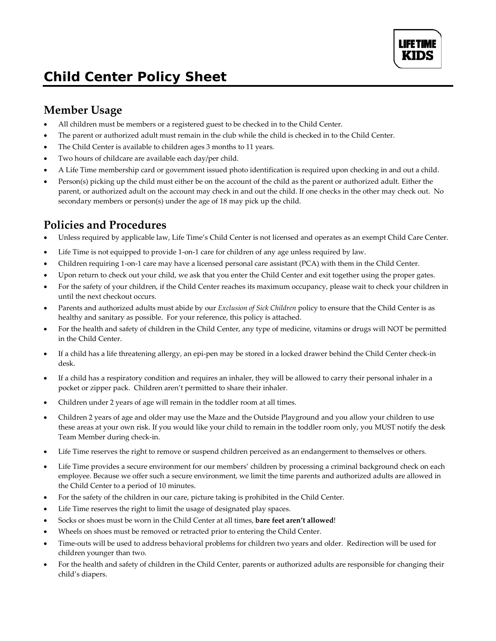# *Child Center Policy Sheet*

## **Member Usage**

- All children must be members or a registered guest to be checked in to the Child Center.
- The parent or authorized adult must remain in the club while the child is checked in to the Child Center.
- The Child Center is available to children ages 3 months to 11 years.
- Two hours of childcare are available each day/per child.
- A Life Time membership card or government issued photo identification is required upon checking in and out a child.
- Person(s) picking up the child must either be on the account of the child as the parent or authorized adult. Either the parent, or authorized adult on the account may check in and out the child. If one checks in the other may check out. No secondary members or person(s) under the age of 18 may pick up the child.

#### **Policies and Procedures**

- Unless required by applicable law, Life Time's Child Center is not licensed and operates as an exempt Child Care Center.
- Life Time is not equipped to provide 1-on-1 care for children of any age unless required by law.
- Children requiring 1-on-1 care may have a licensed personal care assistant (PCA) with them in the Child Center.
- Upon return to check out your child, we ask that you enter the Child Center and exit together using the proper gates.
- For the safety of your children, if the Child Center reaches its maximum occupancy, please wait to check your children in until the next checkout occurs.
- Parents and authorized adults must abide by our *Exclusion of Sick Children* policy to ensure that the Child Center is as healthy and sanitary as possible. For your reference, this policy is attached.
- For the health and safety of children in the Child Center, any type of medicine, vitamins or drugs will NOT be permitted in the Child Center.
- If a child has a life threatening allergy, an epi-pen may be stored in a locked drawer behind the Child Center check-in desk.
- If a child has a respiratory condition and requires an inhaler, they will be allowed to carry their personal inhaler in a pocket or zipper pack. Children aren't permitted to share their inhaler.
- Children under 2 years of age will remain in the toddler room at all times.
- Children 2 years of age and older may use the Maze and the Outside Playground and you allow your children to use these areas at your own risk. If you would like your child to remain in the toddler room only, you MUST notify the desk Team Member during check-in.
- Life Time reserves the right to remove or suspend children perceived as an endangerment to themselves or others.
- Life Time provides a secure environment for our members' children by processing a criminal background check on each employee. Because we offer such a secure environment, we limit the time parents and authorized adults are allowed in the Child Center to a period of 10 minutes.
- For the safety of the children in our care, picture taking is prohibited in the Child Center.
- Life Time reserves the right to limit the usage of designated play spaces.
- Socks or shoes must be worn in the Child Center at all times, **bare feet aren't allowed**!
- Wheels on shoes must be removed or retracted prior to entering the Child Center.
- Time-outs will be used to address behavioral problems for children two years and older. Redirection will be used for children younger than two.
- For the health and safety of children in the Child Center, parents or authorized adults are responsible for changing their child's diapers.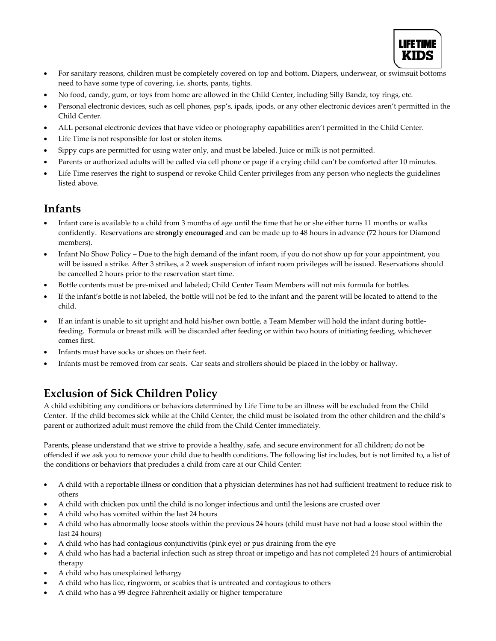

- For sanitary reasons, children must be completely covered on top and bottom. Diapers, underwear, or swimsuit bottoms need to have some type of covering, i.e. shorts, pants, tights.
- No food, candy, gum, or toys from home are allowed in the Child Center, including Silly Bandz, toy rings, etc.
- Personal electronic devices, such as cell phones, psp's, ipads, ipods, or any other electronic devices aren't permitted in the Child Center.
- ALL personal electronic devices that have video or photography capabilities aren't permitted in the Child Center.
- Life Time is not responsible for lost or stolen items.
- Sippy cups are permitted for using water only, and must be labeled. Juice or milk is not permitted.
- Parents or authorized adults will be called via cell phone or page if a crying child can't be comforted after 10 minutes.
- Life Time reserves the right to suspend or revoke Child Center privileges from any person who neglects the guidelines listed above.

#### **Infants**

- Infant care is available to a child from 3 months of age until the time that he or she either turns 11 months or walks confidently. Reservations are **strongly encouraged** and can be made up to 48 hours in advance (72 hours for Diamond members).
- Infant No Show Policy Due to the high demand of the infant room, if you do not show up for your appointment, you will be issued a strike. After 3 strikes, a 2 week suspension of infant room privileges will be issued. Reservations should be cancelled 2 hours prior to the reservation start time.
- Bottle contents must be pre-mixed and labeled; Child Center Team Members will not mix formula for bottles.
- If the infant's bottle is not labeled, the bottle will not be fed to the infant and the parent will be located to attend to the child.
- If an infant is unable to sit upright and hold his/her own bottle, a Team Member will hold the infant during bottlefeeding. Formula or breast milk will be discarded after feeding or within two hours of initiating feeding, whichever comes first.
- Infants must have socks or shoes on their feet.
- Infants must be removed from car seats. Car seats and strollers should be placed in the lobby or hallway.

## **Exclusion of Sick Children Policy**

A child exhibiting any conditions or behaviors determined by Life Time to be an illness will be excluded from the Child Center. If the child becomes sick while at the Child Center, the child must be isolated from the other children and the child's parent or authorized adult must remove the child from the Child Center immediately.

Parents, please understand that we strive to provide a healthy, safe, and secure environment for all children; do not be offended if we ask you to remove your child due to health conditions. The following list includes, but is not limited to, a list of the conditions or behaviors that precludes a child from care at our Child Center:

- A child with a reportable illness or condition that a physician determines has not had sufficient treatment to reduce risk to others
- A child with chicken pox until the child is no longer infectious and until the lesions are crusted over
- A child who has vomited within the last 24 hours
- A child who has abnormally loose stools within the previous 24 hours (child must have not had a loose stool within the last 24 hours)
- A child who has had contagious conjunctivitis (pink eye) or pus draining from the eye
- A child who has had a bacterial infection such as strep throat or impetigo and has not completed 24 hours of antimicrobial therapy
- A child who has unexplained lethargy
- A child who has lice, ringworm, or scabies that is untreated and contagious to others
- A child who has a 99 degree Fahrenheit axially or higher temperature